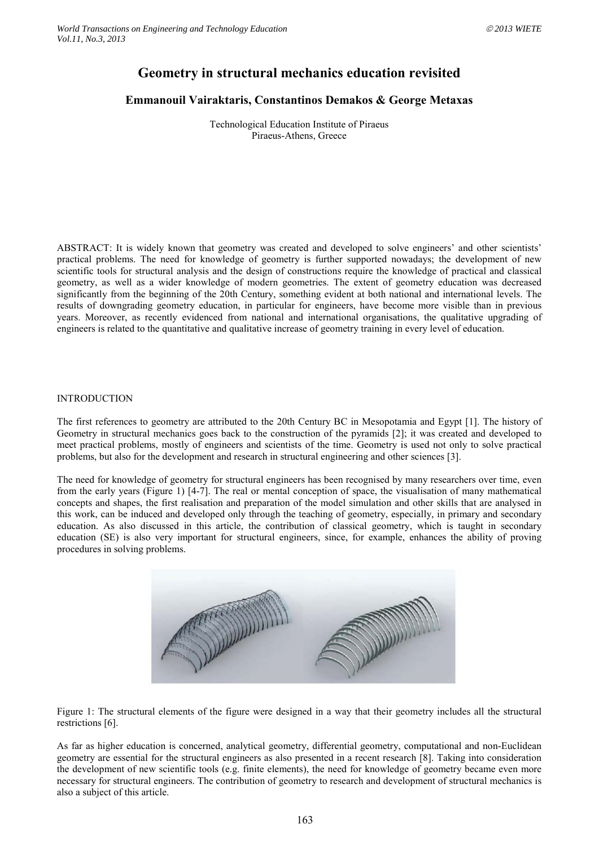# **Geometry in structural mechanics education revisited**

## **Emmanouil Vairaktaris, Constantinos Demakos & George Metaxas**

Technological Education Institute of Piraeus Piraeus-Athens, Greece

ABSTRACT: It is widely known that geometry was created and developed to solve engineers' and other scientists' practical problems. The need for knowledge of geometry is further supported nowadays; the development of new scientific tools for structural analysis and the design of constructions require the knowledge of practical and classical geometry, as well as a wider knowledge of modern geometries. The extent of geometry education was decreased significantly from the beginning of the 20th Century, something evident at both national and international levels. The results of downgrading geometry education, in particular for engineers, have become more visible than in previous years. Moreover, as recently evidenced from national and international organisations, the qualitative upgrading of engineers is related to the quantitative and qualitative increase of geometry training in every level of education.

#### INTRODUCTION

The first references to geometry are attributed to the 20th Century BC in Mesopotamia and Egypt [1]. The history of Geometry in structural mechanics goes back to the construction of the pyramids [2]; it was created and developed to meet practical problems, mostly of engineers and scientists of the time. Geometry is used not only to solve practical problems, but also for the development and research in structural engineering and other sciences [\[3\]](#page-4-0).

The need for knowledge of geometry for structural engineers has been recognised by many researchers over time, even from the early years [\(Figure 1\)](#page-0-0) [4-7]. The real or mental conception of space, the visualisation of many mathematical concepts and shapes, the first realisation and preparation of the model simulation and other skills that are analysed in this work, can be induced and developed only through the teaching of geometry, especially, in primary and secondary education. As also discussed in this article, the contribution of classical geometry, which is taught in secondary education (SE) is also very important for structural engineers, since, for example, enhances the ability of proving procedures in solving problems.



<span id="page-0-0"></span>Figure 1: The structural elements of the figure were designed in a way that their geometry includes all the structural restrictions [6].

As far as higher education is concerned, analytical geometry, differential geometry, computational and non-Euclidean geometry are essential for the structural engineers as also presented in a recent research [8]. Taking into consideration the development of new scientific tools (e.g. finite elements), the need for knowledge of geometry became even more necessary for structural engineers. The contribution of geometry to research and development of structural mechanics is also a subject of this article.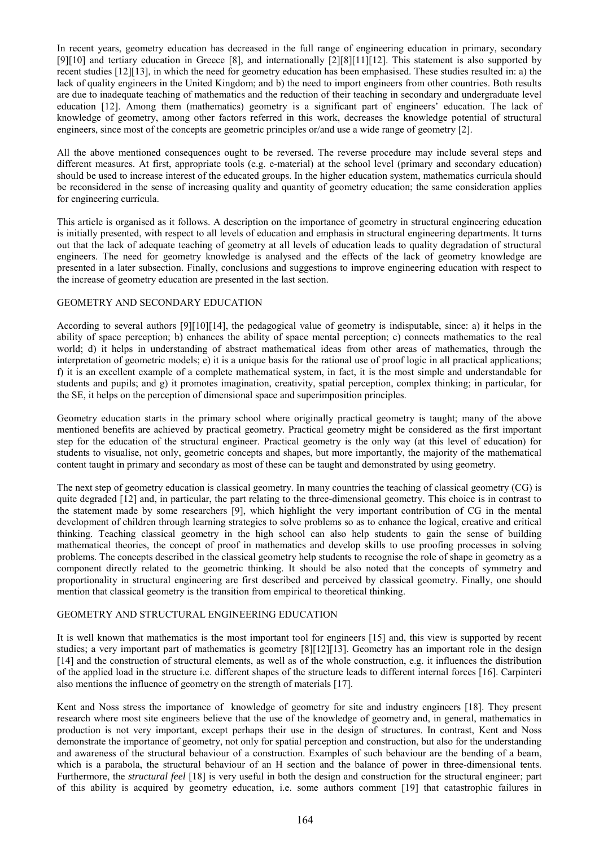In recent years, geometry education has decreased in the full range of engineering education in primary, secondary [9][10] and tertiary education in Greece [8], and internationally [2][8][11][12]. This statement is also supported by recent studies [12][13], in which the need for geometry education has been emphasised. These studies resulted in: a) the lack of quality engineers in the United Kingdom; and b) the need to import engineers from other countries. Both results are due to inadequate teaching of mathematics and the reduction of their teaching in secondary and undergraduate level education [12]. Among them (mathematics) geometry is a significant part of engineers' education. The lack of knowledge of geometry, among other factors referred in this work, decreases the knowledge potential of structural engineers, since most of the concepts are geometric principles or/and use a wide range of geometry [2].

All the above mentioned consequences ought to be reversed. The reverse procedure may include several steps and different measures. At first, appropriate tools (e.g. e-material) at the school level (primary and secondary education) should be used to increase interest of the educated groups. In the higher education system, mathematics curricula should be reconsidered in the sense of increasing quality and quantity of geometry education; the same consideration applies for engineering curricula.

This article is organised as it follows. A description on the importance of geometry in structural engineering education is initially presented, with respect to all levels of education and emphasis in structural engineering departments. It turns out that the lack of adequate teaching of geometry at all levels of education leads to quality degradation of structural engineers. The need for geometry knowledge is analysed and the effects of the lack of geometry knowledge are presented in a later subsection. Finally, conclusions and suggestions to improve engineering education with respect to the increase of geometry education are presented in the last section.

### GEOMETRY AND SECONDARY EDUCATION

According to several authors [9][10][14], the pedagogical value of geometry is indisputable, since: a) it helps in the ability of space perception; b) enhances the ability of space mental perception; c) connects mathematics to the real world; d) it helps in understanding of abstract mathematical ideas from other areas of mathematics, through the interpretation of geometric models; e) it is a unique basis for the rational use of proof logic in all practical applications; f) it is an excellent example of a complete mathematical system, in fact, it is the most simple and understandable for students and pupils; and g) it promotes imagination, creativity, spatial perception, complex thinking; in particular, for the SE, it helps on the perception of dimensional space and superimposition principles.

Geometry education starts in the primary school where originally practical geometry is taught; many of the above mentioned benefits are achieved by practical geometry. Practical geometry might be considered as the first important step for the education of the structural engineer. Practical geometry is the only way (at this level of education) for students to visualise, not only, geometric concepts and shapes, but more importantly, the majority of the mathematical content taught in primary and secondary as most of these can be taught and demonstrated by using geometry.

The next step of geometry education is classical geometry. In many countries the teaching of classical geometry (CG) is quite degraded [12] and, in particular, the part relating to the three-dimensional geometry. This choice is in contrast to the statement made by some researchers [9], which highlight the very important contribution of CG in the mental development of children through learning strategies to solve problems so as to enhance the logical, creative and critical thinking. Teaching classical geometry in the high school can also help students to gain the sense of building mathematical theories, the concept of proof in mathematics and develop skills to use proofing processes in solving problems. The concepts described in the classical geometry help students to recognise the role of shape in geometry as a component directly related to the geometric thinking. It should be also noted that the concepts of symmetry and proportionality in structural engineering are first described and perceived by classical geometry. Finally, one should mention that classical geometry is the transition from empirical to theoretical thinking.

#### GEOMETRY AND STRUCTURAL ENGINEERING EDUCATION

It is well known that mathematics is the most important tool for engineers [15] and, this view is supported by recent studies; a very important part of mathematics is geometry [8][12][13]. Geometry has an important role in the design [14] and the construction of structural elements, as well as of the whole construction, e.g. it influences the distribution of the applied load in the structure i.e. different shapes of the structure leads to different internal forces [16]. Carpinteri also mentions the influence of geometry on the strength of materials [17].

Kent and Noss stress the importance of knowledge of geometry for site and industry engineers [18]. They present research where most site engineers believe that the use of the knowledge of geometry and, in general, mathematics in production is not very important, except perhaps their use in the design of structures. In contrast, Kent and Noss demonstrate the importance of geometry, not only for spatial perception and construction, but also for the understanding and awareness of the structural behaviour of a construction. Examples of such behaviour are the bending of a beam, which is a parabola, the structural behaviour of an H section and the balance of power in three-dimensional tents. Furthermore, the *structural feel* [18] is very useful in both the design and construction for the structural engineer; part of this ability is acquired by geometry education, i.e. some authors comment [19] that catastrophic failures in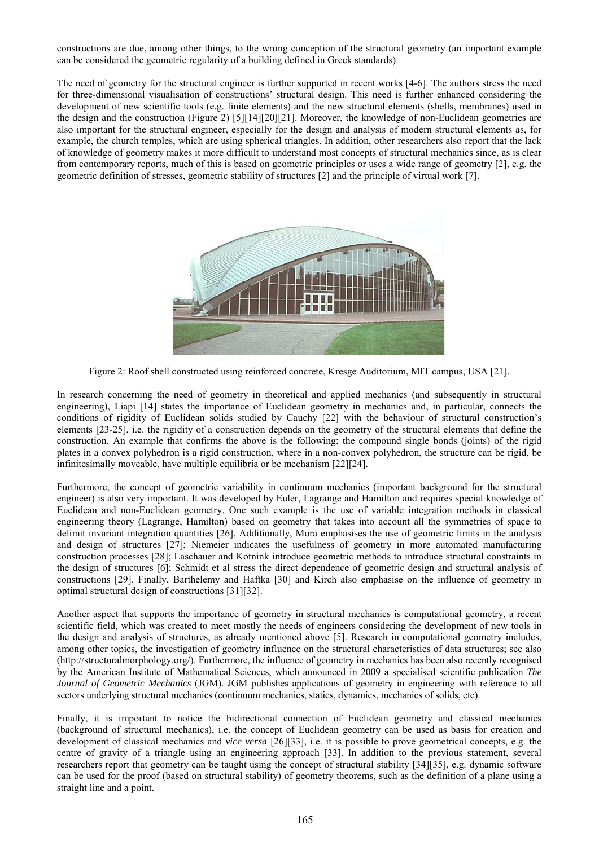constructions are due, among other things, to the wrong conception of the structural geometry (an important example can be considered the geometric regularity of a building defined in Greek standards).

The need of geometry for the structural engineer is further supported in recent works [4-6]. The authors stress the need for three-dimensional visualisation of constructions' structural design. This need is further enhanced considering the development of new scientific tools (e.g. finite elements) and the new structural elements (shells, membranes) used in the design and the construction [\(Figure 2\)](#page-2-0) [5][14][20][21]. Moreover, the knowledge of non-Euclidean geometries are also important for the structural engineer, especially for the design and analysis of modern structural elements as, for example, the church temples, which are using spherical triangles. In addition, other researchers also report that the lack of knowledge of geometry makes it more difficult to understand most concepts of structural mechanics since, as is clear from contemporary reports, much of this is based on geometric principles or uses a wide range of geometry [2], e.g. the geometric definition of stresses, geometric stability of structures [2] and the principle of virtual work [7].



Figure 2: Roof shell constructed using reinforced concrete, Kresge Auditorium, MIT campus, USA [21].

<span id="page-2-0"></span>In research concerning the need of geometry in theoretical and applied mechanics (and subsequently in structural engineering), Liapi [14] states the importance of Euclidean geometry in mechanics and, in particular, connects the conditions of rigidity of Euclidean solids studied by Cauchy [22] with the behaviour of structural construction's elements [23-25], i.e. the rigidity of a construction depends on the geometry of the structural elements that define the construction. An example that confirms the above is the following: the compound single bonds (joints) of the rigid plates in a convex polyhedron is a rigid construction, where in a non-convex polyhedron, the structure can be rigid, be infinitesimally moveable, have multiple equilibria or be mechanism [22][24].

Furthermore, the concept of geometric variability in continuum mechanics (important background for the structural engineer) is also very important. It was developed by Euler, Lagrange and Hamilton and requires special knowledge of Euclidean and non-Euclidean geometry. One such example is the use of variable integration methods in classical engineering theory (Lagrange, Hamilton) based on geometry that takes into account all the symmetries of space to delimit invariant integration quantities [26]. Additionally, Mora emphasises the use of geometric limits in the analysis and design of structures [27]; Niemeier indicates the usefulness of geometry in more automated manufacturing construction processes [28]; Laschauer and Kotnink introduce geometric methods to introduce structural constraints in the design of structures [6]; Schmidt et al stress the direct dependence of geometric design and structural analysis of constructions [29]. Finally, Barthelemy and Haftka [30] and Kirch also emphasise on the influence of geometry in optimal structural design of constructions [31][32].

Another aspect that supports the importance of geometry in structural mechanics is computational geometry, a recent scientific field, which was created to meet mostly the needs of engineers considering the development of new tools in the design and analysis of structures, as already mentioned above [5]. Research in computational geometry includes, among other topics, the investigation of geometry influence on the structural characteristics of data structures; see also (http://structuralmorphology.org/). Furthermore, the influence of geometry in mechanics has been also recently recognised by the American Institute of Mathematical Sciences, which announced in 2009 a specialised scientific publication *The Journal of Geometric Mechanics* (JGM). JGM publishes applications of geometry in engineering with reference to all sectors underlying structural mechanics (continuum mechanics, statics, dynamics, mechanics of solids, etc).

Finally, it is important to notice the bidirectional connection of Euclidean geometry and classical mechanics (background of structural mechanics), i.e. the concept of Euclidean geometry can be used as basis for creation and development of classical mechanics and *vice versa* [26][33], i.e. it is possible to prove geometrical concepts, e.g. the centre of gravity of a triangle using an engineering approach [33]. In addition to the previous statement, several researchers report that geometry can be taught using the concept of structural stability [34][35], e.g. dynamic software can be used for the proof (based on structural stability) of geometry theorems, such as the definition of a plane using a straight line and a point.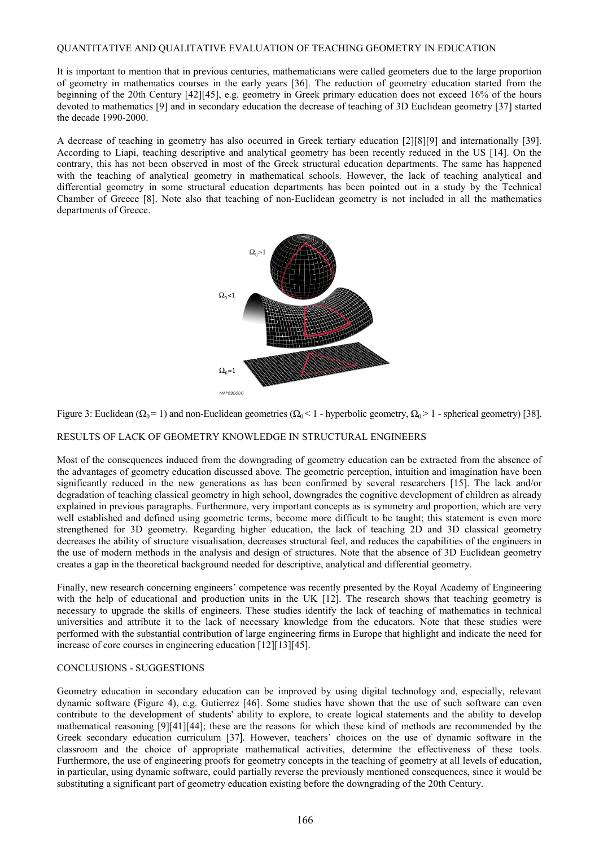#### QUANTITATIVE AND QUALITATIVE EVALUATION OF TEACHING GEOMETRY IN EDUCATION

It is important to mention that in previous centuries, mathematicians were called geometers due to the large proportion of geometry in mathematics courses in the early years [36]. The reduction of geometry education started from the beginning of the 20th Century [42][45], e.g. geometry in Greek primary education does not exceed 16% of the hours devoted to mathematics [9] and in secondary education the decrease of teaching of 3D Euclidean geometry [37] started the decade 1990-2000.

A decrease of teaching in geometry has also occurred in Greek tertiary education [2][8][9] and internationally [39]. According to Liapi, teaching descriptive and analytical geometry has been recently reduced in the US [14]. On the contrary, this has not been observed in most of the Greek structural education departments. The same has happened with the teaching of analytical geometry in mathematical schools. However, the lack of teaching analytical and differential geometry in some structural education departments has been pointed out in a study by the Technical Chamber of Greece [8]. Note also that teaching of non-Euclidean geometry is not included in all the mathematics departments of Greece.



Figure 3: Euclidean ( $\Omega_0 = 1$ ) and non-Euclidean geometries ( $\Omega_0 < 1$  - hyperbolic geometry,  $\Omega_0 > 1$  - spherical geometry) [38].

#### RESULTS OF LACK OF GEOMETRY KNOWLEDGE IN STRUCTURAL ENGINEERS

Most of the consequences induced from the downgrading of geometry education can be extracted from the absence of the advantages of geometry education discussed above. The geometric perception, intuition and imagination have been significantly reduced in the new generations as has been confirmed by several researchers [15]. The lack and/or degradation of teaching classical geometry in high school, downgrades the cognitive development of children as already explained in previous paragraphs. Furthermore, very important concepts as is symmetry and proportion, which are very well established and defined using geometric terms, become more difficult to be taught; this statement is even more strengthened for 3D geometry. Regarding higher education, the lack of teaching 2D and 3D classical geometry decreases the ability of structure visualisation, decreases structural feel, and reduces the capabilities of the engineers in the use of modern methods in the analysis and design of structures. Note that the absence of 3D Euclidean geometry creates a gap in the theoretical background needed for descriptive, analytical and differential geometry.

Finally, new research concerning engineers' competence was recently presented by the Royal Academy of Engineering with the help of educational and production units in the UK [12]. The research shows that teaching geometry is necessary to upgrade the skills of engineers. These studies identify the lack of teaching of mathematics in technical universities and attribute it to the lack of necessary knowledge from the educators. Note that these studies were performed with the substantial contribution of large engineering firms in Europe that highlight and indicate the need for increase of core courses in engineering education [12][13][45].

#### CONCLUSIONS - SUGGESTIONS

Geometry education in secondary education can be improved by using digital technology and, especially, relevant dynamic software (Figure 4), e.g. Gutierrez [46]. Some studies have shown that the use of such software can even contribute to the development of students' ability to explore, to create logical statements and the ability to develop mathematical reasoning [9][41][44]; these are the reasons for which these kind of methods are recommended by the Greek secondary education curriculum [37]. However, teachers' choices on the use of dynamic software in the classroom and the choice of appropriate mathematical activities, determine the effectiveness of these tools. Furthermore, the use of engineering proofs for geometry concepts in the teaching of geometry at all levels of education, in particular, using dynamic software, could partially reverse the previously mentioned consequences, since it would be substituting a significant part of geometry education existing before the downgrading of the 20th Century.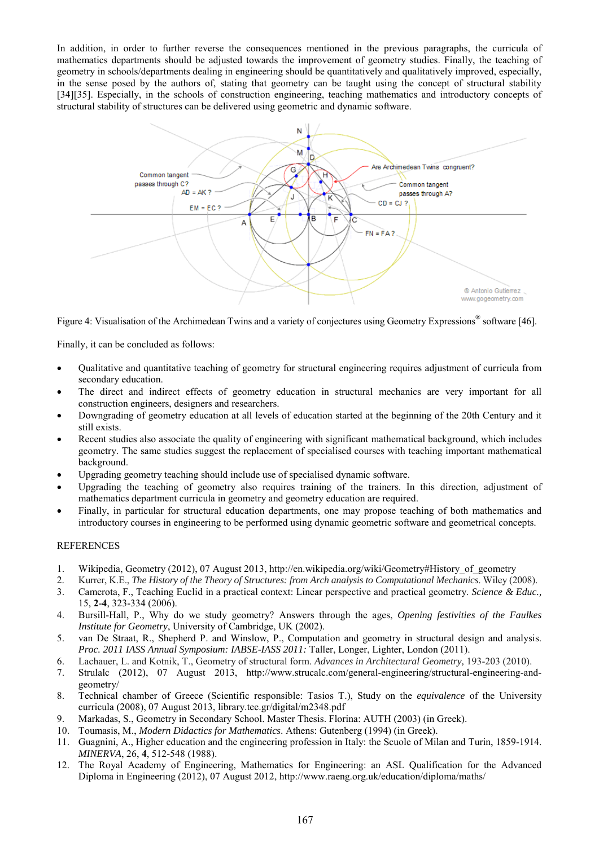In addition, in order to further reverse the consequences mentioned in the previous paragraphs, the curricula of mathematics departments should be adjusted towards the improvement of geometry studies. Finally, the teaching of geometry in schools/departments dealing in engineering should be quantitatively and qualitatively improved, especially, in the sense posed by the authors of, stating that geometry can be taught using the concept of structural stability [34][35]. Especially, in the schools of construction engineering, teaching mathematics and introductory concepts of structural stability of structures can be delivered using geometric and dynamic software.



Figure 4: Visualisation of the Archimedean Twins and a variety of conjectures using Geometry Expressions<sup>®</sup> software [46].

Finally, it can be concluded as follows:

- Qualitative and quantitative teaching of geometry for structural engineering requires adjustment of curricula from secondary education.
- The direct and indirect effects of geometry education in structural mechanics are very important for all construction engineers, designers and researchers.
- Downgrading of geometry education at all levels of education started at the beginning of the 20th Century and it still exists.
- Recent studies also associate the quality of engineering with significant mathematical background, which includes geometry. The same studies suggest the replacement of specialised courses with teaching important mathematical background.
- Upgrading geometry teaching should include use of specialised dynamic software.
- Upgrading the teaching of geometry also requires training of the trainers. In this direction, adjustment of mathematics department curricula in geometry and geometry education are required.
- Finally, in particular for structural education departments, one may propose teaching of both mathematics and introductory courses in engineering to be performed using dynamic geometric software and geometrical concepts.

## REFERENCES

- 1. Wikipedia, Geometry (2012), 07 August 2013, http://en.wikipedia.org/wiki/Geometry#History\_of\_geometry
- 2. Kurrer, K.E., *The History of the Theory of Structures: from Arch analysis to Computational Mechanics*. Wiley (2008).
- <span id="page-4-0"></span>3. Camerota, F., Teaching Euclid in a practical context: Linear perspective and practical geometry. *Science & Educ.,*  15, **2**-**4**, 323-334 (2006).
- 4. Bursill-Hall, P., Why do we study geometry? Answers through the ages, *Opening festivities of the Faulkes Institute for Geometry*, University of Cambridge, UK (2002).
- 5. van De Straat, R., Shepherd P. and Winslow, P., Computation and geometry in structural design and analysis. *Proc. 2011 IASS Annual Symposium: IABSE-IASS 2011:* Taller, Longer, Lighter, London (2011).
- 6. Lachauer, L. and Kotnik, T., Geometry of structural form. *Advances in Architectural Geometry,* 193-203 (2010).
- 7. Strulalc (2012), 07 August 2013, http://www.strucalc.com/general-engineering/structural-engineering-andgeometry/
- 8. Technical chamber of Greece (Scientific responsible: Tasios T.), Study on the *equivalence* of the University curricula (2008), 07 August 2013, library.tee.gr/digital/m2348.pdf
- 9. Markadas, S., Geometry in Secondary School. Master Thesis. Florina: AUTH (2003) (in Greek).
- 10. Toumasis, M., *Modern Didactics for Mathematics*. Athens: Gutenberg (1994) (in Greek).
- 11. [Guagnini,](http://www.springerlink.com/content/?Author=Anna+Guagnini) A., Higher education and the engineering profession in Italy: the Scuole of Milan and Turin, 1859-1914. *MINERVA*, 26, **4**, 512-548 (1988).
- 12. The Royal Academy of Engineering, Mathematics for Engineering: an ASL Qualification for the Advanced Diploma in Engineering (2012), 07 August 2012[, http://www.raeng.org.uk/education/diploma/maths/](http://www.raeng.org.uk/education/diploma/maths/)